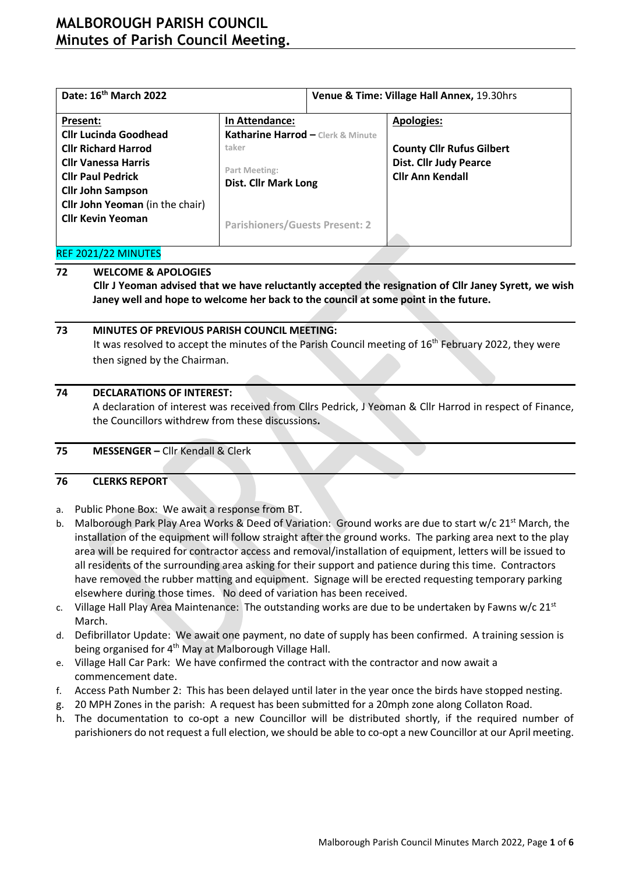# **MALBOROUGH PARISH COUNCIL Minutes of Parish Council Meeting.**

| Date: 16 <sup>th</sup> March 2022      |                                              | Venue & Time: Village Hall Annex, 19.30hrs |                                  |  |  |
|----------------------------------------|----------------------------------------------|--------------------------------------------|----------------------------------|--|--|
| Present:                               | In Attendance:                               |                                            | <b>Apologies:</b>                |  |  |
| <b>Cllr Lucinda Goodhead</b>           | Katharine Harrod - Clerk & Minute            |                                            |                                  |  |  |
| <b>Cllr Richard Harrod</b>             | taker                                        |                                            | <b>County Cllr Rufus Gilbert</b> |  |  |
| <b>Cllr Vanessa Harris</b>             |                                              |                                            | <b>Dist. Cllr Judy Pearce</b>    |  |  |
| <b>Cllr Paul Pedrick</b>               | Part Meeting:<br><b>Dist. Cllr Mark Long</b> |                                            | <b>Cllr Ann Kendall</b>          |  |  |
| <b>Cllr John Sampson</b>               |                                              |                                            |                                  |  |  |
| <b>Cllr John Yeoman</b> (in the chair) |                                              |                                            |                                  |  |  |
| <b>Cllr Kevin Yeoman</b>               |                                              |                                            |                                  |  |  |
|                                        | <b>Parishioners/Guests Present: 2</b>        |                                            |                                  |  |  |

### REF 2021/22 MINUTES

### **72 WELCOME & APOLOGIES**

**Cllr J Yeoman advised that we have reluctantly accepted the resignation of Cllr Janey Syrett, we wish Janey well and hope to welcome her back to the council at some point in the future.** 

### **73 MINUTES OF PREVIOUS PARISH COUNCIL MEETING:**

It was resolved to accept the minutes of the Parish Council meeting of 16<sup>th</sup> February 2022, they were then signed by the Chairman.

### **74 DECLARATIONS OF INTEREST:**

A declaration of interest was received from Cllrs Pedrick, J Yeoman & Cllr Harrod in respect of Finance, the Councillors withdrew from these discussions**.**

### **75 MESSENGER –** Cllr Kendall & Clerk

### **76 CLERKS REPORT**

- a. Public Phone Box: We await a response from BT.
- b. Malborough Park Play Area Works & Deed of Variation: Ground works are due to start w/c 21<sup>st</sup> March, the installation of the equipment will follow straight after the ground works. The parking area next to the play area will be required for contractor access and removal/installation of equipment, letters will be issued to all residents of the surrounding area asking for their support and patience during this time. Contractors have removed the rubber matting and equipment. Signage will be erected requesting temporary parking elsewhere during those times. No deed of variation has been received.
- c. Village Hall Play Area Maintenance: The outstanding works are due to be undertaken by Fawns w/c 21st March.
- d. Defibrillator Update: We await one payment, no date of supply has been confirmed. A training session is being organised for 4<sup>th</sup> May at Malborough Village Hall.
- e. Village Hall Car Park: We have confirmed the contract with the contractor and now await a commencement date.
- f. Access Path Number 2: This has been delayed until later in the year once the birds have stopped nesting.
- g. 20 MPH Zones in the parish: A request has been submitted for a 20mph zone along Collaton Road.
- h. The documentation to co-opt a new Councillor will be distributed shortly, if the required number of parishioners do not request a full election, we should be able to co-opt a new Councillor at our April meeting.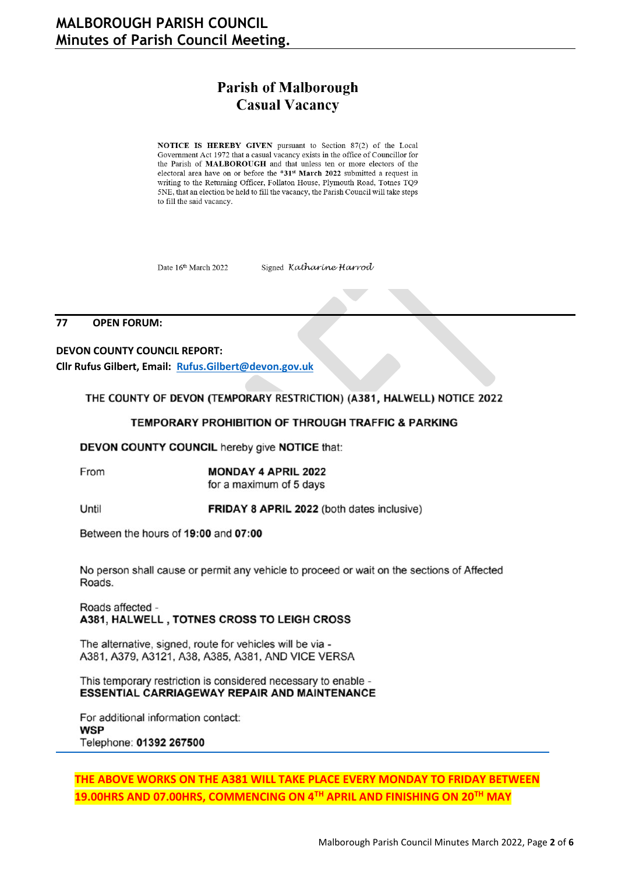# **Parish of Malborough Casual Vacancy**

NOTICE IS HEREBY GIVEN pursuant to Section 87(2) of the Local Government Act 1972 that a casual vacancy exists in the office of Councillor for the Parish of MALBOROUGH and that unless ten or more electors of the electoral area have on or before the \*31<sup>st</sup> March 2022 submitted a request in writing to the Returning Officer, Follaton House, Plymouth Road, Totnes TQ9 5NE, that an election be held to fill the vacancy, the Parish Council will take steps to fill the said vacancy.

Date 16th March 2022

Signed Katharine Harrod

#### 77 **OPEN FORUM:**

**DEVON COUNTY COUNCIL REPORT:** Cllr Rufus Gilbert, Email: Rufus.Gilbert@devon.gov.uk

THE COUNTY OF DEVON (TEMPORARY RESTRICTION) (A381, HALWELL) NOTICE 2022

#### **TEMPORARY PROHIBITION OF THROUGH TRAFFIC & PARKING**

DEVON COUNTY COUNCIL hereby give NOTICE that:

From

**MONDAY 4 APRIL 2022** for a maximum of 5 days

Until

**FRIDAY 8 APRIL 2022** (both dates inclusive)

Between the hours of 19:00 and 07:00

No person shall cause or permit any vehicle to proceed or wait on the sections of Affected Roads.

Roads affected -A381, HALWELL, TOTNES CROSS TO LEIGH CROSS

The alternative, signed, route for vehicles will be via -A381, A379, A3121, A38, A385, A381, AND VICE VERSA

This temporary restriction is considered necessary to enable -**ESSENTIAL CARRIAGEWAY REPAIR AND MAINTENANCE** 

For additional information contact: **WSP** Telephone: 01392 267500

### THE ABOVE WORKS ON THE A381 WILL TAKE PLACE EVERY MONDAY TO FRIDAY BETWEEN 19.00HRS AND 07.00HRS, COMMENCING ON 4TH APRIL AND FINISHING ON 20TH MAY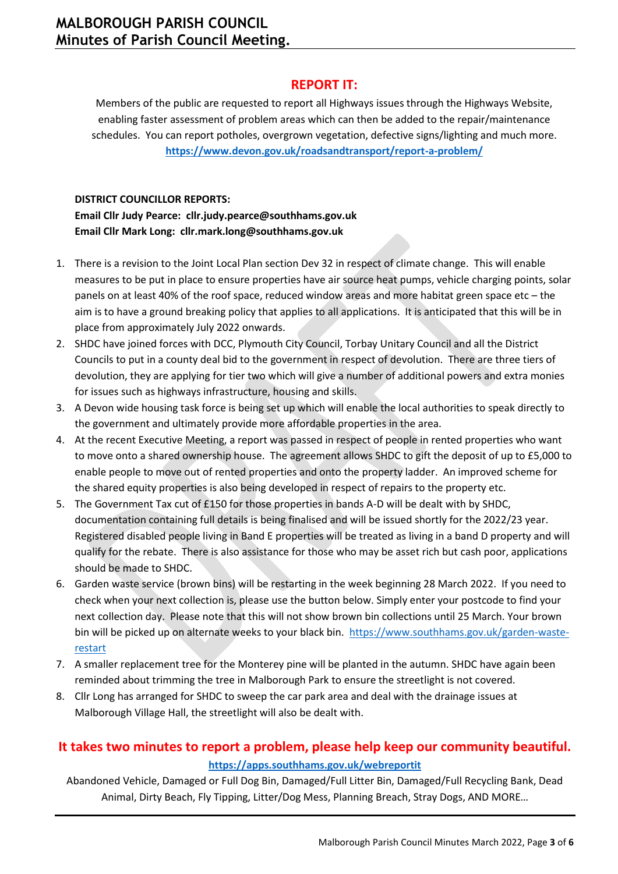### **REPORT IT:**

Members of the public are requested to report all Highways issues through the Highways Website, enabling faster assessment of problem areas which can then be added to the repair/maintenance schedules. You can report potholes, overgrown vegetation, defective signs/lighting and much more. **<https://www.devon.gov.uk/roadsandtransport/report-a-problem/>**

### **DISTRICT COUNCILLOR REPORTS:**

**Email Cllr Judy Pearce: [cllr.judy.pearce@southhams.gov.uk](file:///C:/Users/katha/Downloads/cllr.judy.pearce@southhams.gov.uk) Email Cllr Mark Long: [cllr.mark.long@southhams.gov.uk](mailto:cllr.mark.long@southhams.gov.uk)**

- 1. There is a revision to the Joint Local Plan section Dev 32 in respect of climate change. This will enable measures to be put in place to ensure properties have air source heat pumps, vehicle charging points, solar panels on at least 40% of the roof space, reduced window areas and more habitat green space etc – the aim is to have a ground breaking policy that applies to all applications. It is anticipated that this will be in place from approximately July 2022 onwards.
- 2. SHDC have joined forces with DCC, Plymouth City Council, Torbay Unitary Council and all the District Councils to put in a county deal bid to the government in respect of devolution. There are three tiers of devolution, they are applying for tier two which will give a number of additional powers and extra monies for issues such as highways infrastructure, housing and skills.
- 3. A Devon wide housing task force is being set up which will enable the local authorities to speak directly to the government and ultimately provide more affordable properties in the area.
- 4. At the recent Executive Meeting, a report was passed in respect of people in rented properties who want to move onto a shared ownership house. The agreement allows SHDC to gift the deposit of up to £5,000 to enable people to move out of rented properties and onto the property ladder. An improved scheme for the shared equity properties is also being developed in respect of repairs to the property etc.
- 5. The Government Tax cut of £150 for those properties in bands A-D will be dealt with by SHDC, documentation containing full details is being finalised and will be issued shortly for the 2022/23 year. Registered disabled people living in Band E properties will be treated as living in a band D property and will qualify for the rebate. There is also assistance for those who may be asset rich but cash poor, applications should be made to SHDC.
- 6. Garden waste service (brown bins) will be restarting in the week beginning 28 March 2022. If you need to check when your next collection is, please use the button below. Simply enter your postcode to find your next collection day. Please note that this will not show brown bin collections until 25 March. Your brown bin will be picked up on alternate weeks to your black bin. [https://www.southhams.gov.uk/garden-waste](https://www.southhams.gov.uk/garden-waste-restart)[restart](https://www.southhams.gov.uk/garden-waste-restart)
- 7. A smaller replacement tree for the Monterey pine will be planted in the autumn. SHDC have again been reminded about trimming the tree in Malborough Park to ensure the streetlight is not covered.
- 8. Cllr Long has arranged for SHDC to sweep the car park area and deal with the drainage issues at Malborough Village Hall, the streetlight will also be dealt with.

## **It takes two minutes to report a problem, please help keep our community beautiful. <https://apps.southhams.gov.uk/webreportit>**

Abandoned Vehicle, Damaged or Full Dog Bin, Damaged/Full Litter Bin, Damaged/Full Recycling Bank, Dead Animal, Dirty Beach, Fly Tipping, Litter/Dog Mess, Planning Breach, Stray Dogs, AND MORE…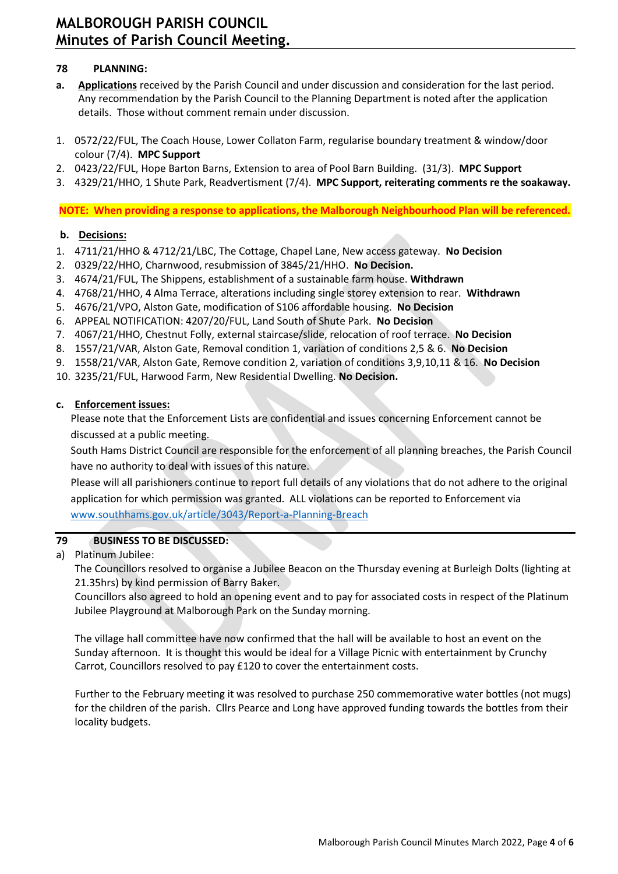# **MALBOROUGH PARISH COUNCIL Minutes of Parish Council Meeting.**

### **78 PLANNING:**

- **a. Applications** received by the Parish Council and under discussion and consideration for the last period. Any recommendation by the Parish Council to the Planning Department is noted after the application details. Those without comment remain under discussion.
- 1. 0572/22/FUL, The Coach House, Lower Collaton Farm, regularise boundary treatment & window/door colour (7/4). **MPC Support**
- 2. 0423/22/FUL, Hope Barton Barns, Extension to area of Pool Barn Building. (31/3). **MPC Support**
- 3. 4329/21/HHO, 1 Shute Park, Readvertisment (7/4). **MPC Support, reiterating comments re the soakaway.**

**NOTE: When providing a response to applications, the Malborough Neighbourhood Plan will be referenced.**

### **b. Decisions:**

- 1. 4711/21/HHO & 4712/21/LBC, The Cottage, Chapel Lane, New access gateway. **No Decision**
- 2. 0329/22/HHO, Charnwood, resubmission of 3845/21/HHO. **No Decision.**
- 3. 4674/21/FUL, The Shippens, establishment of a sustainable farm house. **Withdrawn**
- 4. 4768/21/HHO, 4 Alma Terrace, alterations including single storey extension to rear. **Withdrawn**
- 5. 4676/21/VPO, Alston Gate, modification of S106 affordable housing. **No Decision**
- 6. APPEAL NOTIFICATION: 4207/20/FUL, Land South of Shute Park. **No Decision**
- 7. 4067/21/HHO, Chestnut Folly, external staircase/slide, relocation of roof terrace. **No Decision**
- 8. 1557/21/VAR, Alston Gate, Removal condition 1, variation of conditions 2,5 & 6. **No Decision**
- 9. 1558/21/VAR, Alston Gate, Remove condition 2, variation of conditions 3,9,10,11 & 16. **No Decision**
- 10. 3235/21/FUL, Harwood Farm, New Residential Dwelling. **No Decision.**

### **c. Enforcement issues:**

Please note that the Enforcement Lists are confidential and issues concerning Enforcement cannot be discussed at a public meeting.

South Hams District Council are responsible for the enforcement of all planning breaches, the Parish Council have no authority to deal with issues of this nature.

Please will all parishioners continue to report full details of any violations that do not adhere to the original application for which permission was granted. ALL violations can be reported to Enforcement via [www.southhams.gov.uk/article/3043/Report-a-Planning-Breach](http://www.southhams.gov.uk/article/3043/Report-a-Planning-Breach)

### **79 BUSINESS TO BE DISCUSSED:**

a) Platinum Jubilee:

The Councillors resolved to organise a Jubilee Beacon on the Thursday evening at Burleigh Dolts (lighting at 21.35hrs) by kind permission of Barry Baker.

Councillors also agreed to hold an opening event and to pay for associated costs in respect of the Platinum Jubilee Playground at Malborough Park on the Sunday morning.

The village hall committee have now confirmed that the hall will be available to host an event on the Sunday afternoon. It is thought this would be ideal for a Village Picnic with entertainment by Crunchy Carrot, Councillors resolved to pay £120 to cover the entertainment costs.

Further to the February meeting it was resolved to purchase 250 commemorative water bottles (not mugs) for the children of the parish. Cllrs Pearce and Long have approved funding towards the bottles from their locality budgets.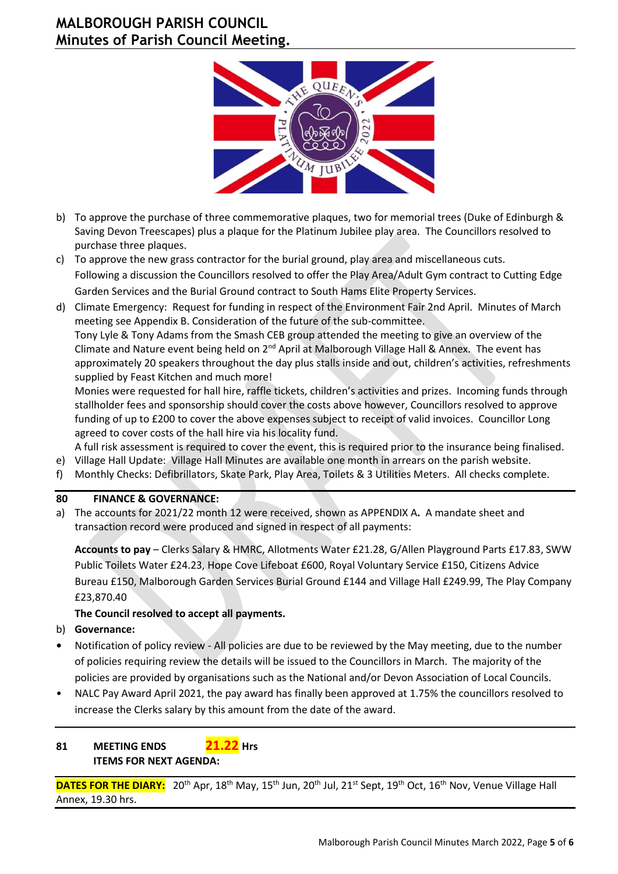# **MALBOROUGH PARISH COUNCIL Minutes of Parish Council Meeting.**



- b) To approve the purchase of three commemorative plaques, two for memorial trees (Duke of Edinburgh & Saving Devon Treescapes) plus a plaque for the Platinum Jubilee play area. The Councillors resolved to purchase three plaques.
- c) To approve the new grass contractor for the burial ground, play area and miscellaneous cuts. Following a discussion the Councillors resolved to offer the Play Area/Adult Gym contract to Cutting Edge Garden Services and the Burial Ground contract to South Hams Elite Property Services.
- d) Climate Emergency: Request for funding in respect of the Environment Fair 2nd April. Minutes of March meeting see Appendix B. Consideration of the future of the sub-committee. Tony Lyle & Tony Adams from the Smash CEB group attended the meeting to give an overview of the Climate and Nature event being held on  $2^{nd}$  April at Malborough Village Hall & Annex. The event has approximately 20 speakers throughout the day plus stalls inside and out, children's activities, refreshments supplied by Feast Kitchen and much more!

Monies were requested for hall hire, raffle tickets, children's activities and prizes. Incoming funds through stallholder fees and sponsorship should cover the costs above however, Councillors resolved to approve funding of up to £200 to cover the above expenses subject to receipt of valid invoices. Councillor Long agreed to cover costs of the hall hire via his locality fund.

A full risk assessment is required to cover the event, this is required prior to the insurance being finalised.

- e) Village Hall Update: Village Hall Minutes are available one month in arrears on the parish website.
- f) Monthly Checks: Defibrillators, Skate Park, Play Area, Toilets & 3 Utilities Meters. All checks complete.

### **80 FINANCE & GOVERNANCE:**

a) The accounts for 2021/22 month 12 were received, shown as APPENDIX A**.** A mandate sheet and transaction record were produced and signed in respect of all payments:

**Accounts to pay** – Clerks Salary & HMRC, Allotments Water £21.28, G/Allen Playground Parts £17.83, SWW Public Toilets Water £24.23, Hope Cove Lifeboat £600, Royal Voluntary Service £150, Citizens Advice Bureau £150, Malborough Garden Services Burial Ground £144 and Village Hall £249.99, The Play Company £23,870.40

### **The Council resolved to accept all payments.**

- b) **Governance:**
- **•** Notification of policy review All policies are due to be reviewed by the May meeting, due to the number of policies requiring review the details will be issued to the Councillors in March. The majority of the policies are provided by organisations such as the National and/or Devon Association of Local Councils.
- NALC Pay Award April 2021, the pay award has finally been approved at 1.75% the councillors resolved to increase the Clerks salary by this amount from the date of the award. l

### **81 MEETING ENDS 21.22 Hrs ITEMS FOR NEXT AGENDA:**

DATES FOR THE DIARY: 20<sup>th</sup> Apr, 18<sup>th</sup> May, 15<sup>th</sup> Jun, 20<sup>th</sup> Jul, 21<sup>st</sup> Sept, 19<sup>th</sup> Oct, 16<sup>th</sup> Nov, Venue Village Hall Annex, 19.30 hrs.